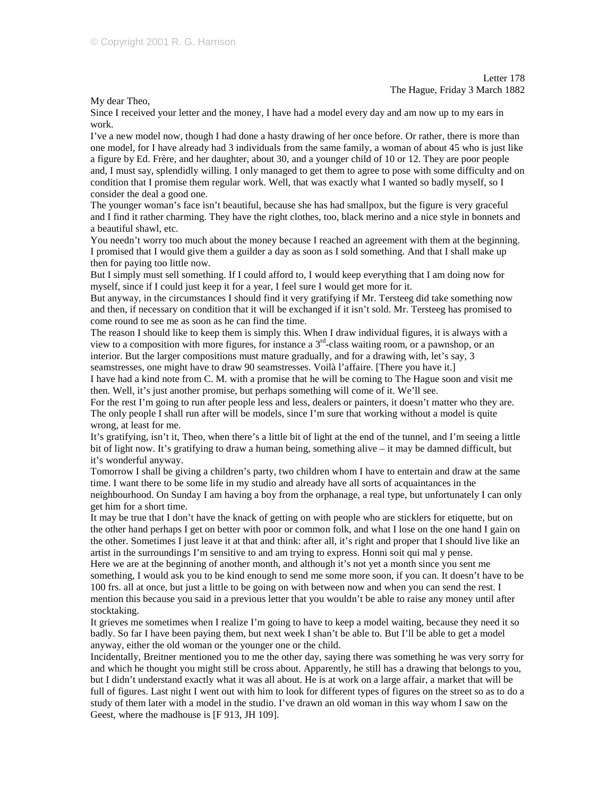My dear Theo,

Since I received your letter and the money, I have had a model every day and am now up to my ears in work.

I've a new model now, though I had done a hasty drawing of her once before. Or rather, there is more than one model, for I have already had 3 individuals from the same family, a woman of about 45 who is just like a figure by Ed. Frère, and her daughter, about 30, and a younger child of 10 or 12. They are poor people and, I must say, splendidly willing. I only managed to get them to agree to pose with some difficulty and on condition that I promise them regular work. Well, that was exactly what I wanted so badly myself, so I consider the deal a good one.

The younger woman's face isn't beautiful, because she has had smallpox, but the figure is very graceful and I find it rather charming. They have the right clothes, too, black merino and a nice style in bonnets and a beautiful shawl, etc.

You needn't worry too much about the money because I reached an agreement with them at the beginning. I promised that I would give them a guilder a day as soon as I sold something. And that I shall make up then for paying too little now.

But I simply must sell something. If I could afford to, I would keep everything that I am doing now for myself, since if I could just keep it for a year, I feel sure I would get more for it.

But anyway, in the circumstances I should find it very gratifying if Mr. Tersteeg did take something now and then, if necessary on condition that it will be exchanged if it isn't sold. Mr. Tersteeg has promised to come round to see me as soon as he can find the time.

The reason I should like to keep them is simply this. When I draw individual figures, it is always with a view to a composition with more figures, for instance a  $3<sup>rd</sup>$ -class waiting room, or a pawnshop, or an interior. But the larger compositions must mature gradually, and for a drawing with, let's say, 3

seamstresses, one might have to draw 90 seamstresses. Voilà l'affaire. [There you have it.] I have had a kind note from C. M. with a promise that he will be coming to The Hague soon and visit me

then. Well, it's just another promise, but perhaps something will come of it. We'll see. For the rest I'm going to run after people less and less, dealers or painters, it doesn't matter who they are. The only people I shall run after will be models, since I'm sure that working without a model is quite wrong, at least for me.

It's gratifying, isn't it, Theo, when there's a little bit of light at the end of the tunnel, and I'm seeing a little bit of light now. It's gratifying to draw a human being, something alive – it may be damned difficult, but it's wonderful anyway.

Tomorrow I shall be giving a children's party, two children whom I have to entertain and draw at the same time. I want there to be some life in my studio and already have all sorts of acquaintances in the neighbourhood. On Sunday I am having a boy from the orphanage, a real type, but unfortunately I can only get him for a short time.

It may be true that I don't have the knack of getting on with people who are sticklers for etiquette, but on the other hand perhaps I get on better with poor or common folk, and what I lose on the one hand I gain on the other. Sometimes I just leave it at that and think: after all, it's right and proper that I should live like an artist in the surroundings I'm sensitive to and am trying to express. Honni soit qui mal y pense.

Here we are at the beginning of another month, and although it's not yet a month since you sent me something, I would ask you to be kind enough to send me some more soon, if you can. It doesn't have to be 100 frs. all at once, but just a little to be going on with between now and when you can send the rest. I mention this because you said in a previous letter that you wouldn't be able to raise any money until after stocktaking.

It grieves me sometimes when I realize I'm going to have to keep a model waiting, because they need it so badly. So far I have been paying them, but next week I shan't be able to. But I'll be able to get a model anyway, either the old woman or the younger one or the child.

Incidentally, Breitner mentioned you to me the other day, saying there was something he was very sorry for and which he thought you might still be cross about. Apparently, he still has a drawing that belongs to you, but I didn't understand exactly what it was all about. He is at work on a large affair, a market that will be full of figures. Last night I went out with him to look for different types of figures on the street so as to do a study of them later with a model in the studio. I've drawn an old woman in this way whom I saw on the Geest, where the madhouse is [F 913, JH 109].